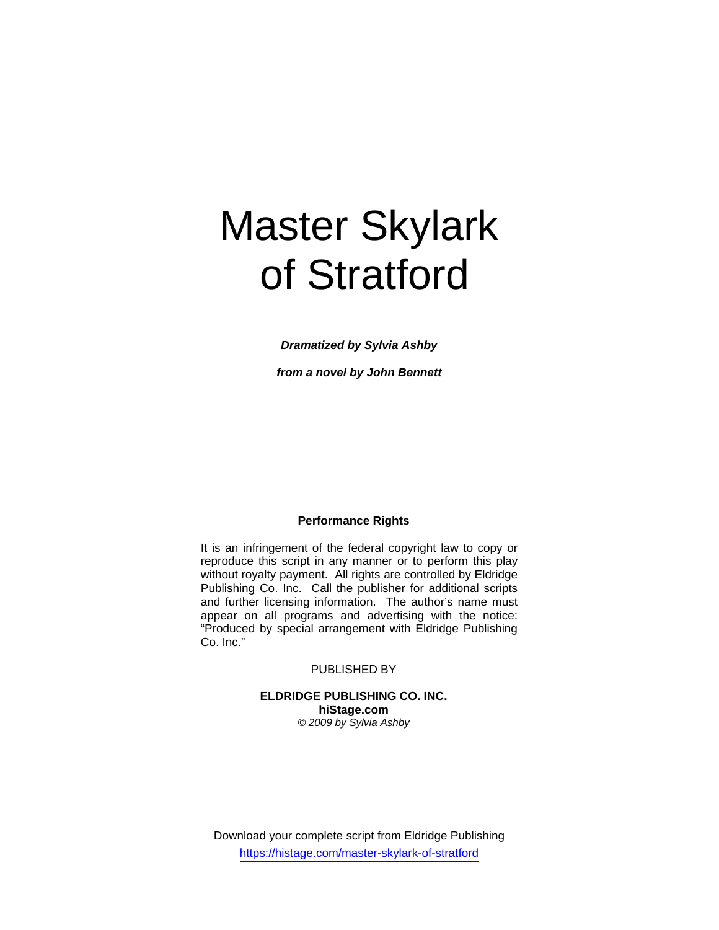# Master Skylark of Stratford

*Dramatized by Sylvia Ashby* 

*from a novel by John Bennett* 

# **Performance Rights**

It is an infringement of the federal copyright law to copy or reproduce this script in any manner or to perform this play without royalty payment. All rights are controlled by Eldridge Publishing Co. Inc. Call the publisher for additional scripts and further licensing information. The author's name must appear on all programs and advertising with the notice: "Produced by special arrangement with Eldridge Publishing Co. Inc."

#### PUBLISHED BY

**ELDRIDGE PUBLISHING CO. INC. hiStage.com**  *© 2009 by Sylvia Ashby* 

Download your complete script from Eldridge Publishing https://histage.com/master-skylark-of-stratford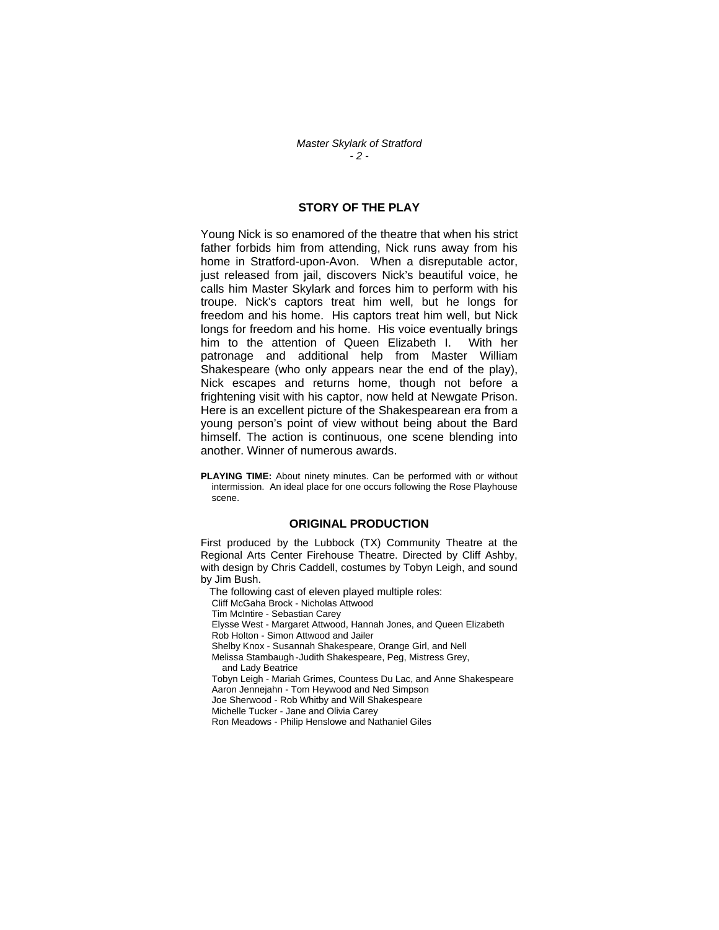# **STORY OF THE PLAY**

Young Nick is so enamored of the theatre that when his strict father forbids him from attending, Nick runs away from his home in Stratford-upon-Avon. When a disreputable actor, just released from jail, discovers Nick's beautiful voice, he calls him Master Skylark and forces him to perform with his troupe. Nick's captors treat him well, but he longs for freedom and his home. His captors treat him well, but Nick longs for freedom and his home. His voice eventually brings him to the attention of Queen Elizabeth I. With her patronage and additional help from Master William Shakespeare (who only appears near the end of the play), Nick escapes and returns home, though not before a frightening visit with his captor, now held at Newgate Prison. Here is an excellent picture of the Shakespearean era from a young person's point of view without being about the Bard himself. The action is continuous, one scene blending into another. Winner of numerous awards.

**PLAYING TIME:** About ninety minutes. Can be performed with or without intermission. An ideal place for one occurs following the Rose Playhouse scene.

#### **ORIGINAL PRODUCTION**

First produced by the Lubbock (TX) Community Theatre at the Regional Arts Center Firehouse Theatre. Directed by Cliff Ashby, with design by Chris Caddell, costumes by Tobyn Leigh, and sound by Jim Bush.

The following cast of eleven played multiple roles:

Cliff McGaha Brock - Nicholas Attwood

Tim McIntire - Sebastian Carey

 Elysse West - Margaret Attwood, Hannah Jones, and Queen Elizabeth Rob Holton - Simon Attwood and Jailer

Shelby Knox - Susannah Shakespeare, Orange Girl, and Nell

 Melissa Stambaugh - Judith Shakespeare, Peg, Mistress Grey, and Lady Beatrice

 Tobyn Leigh - Mariah Grimes, Countess Du Lac, and Anne Shakespeare Aaron Jennejahn - Tom Heywood and Ned Simpson

Joe Sherwood - Rob Whitby and Will Shakespeare

Michelle Tucker - Jane and Olivia Carey

Ron Meadows - Philip Henslowe and Nathaniel Giles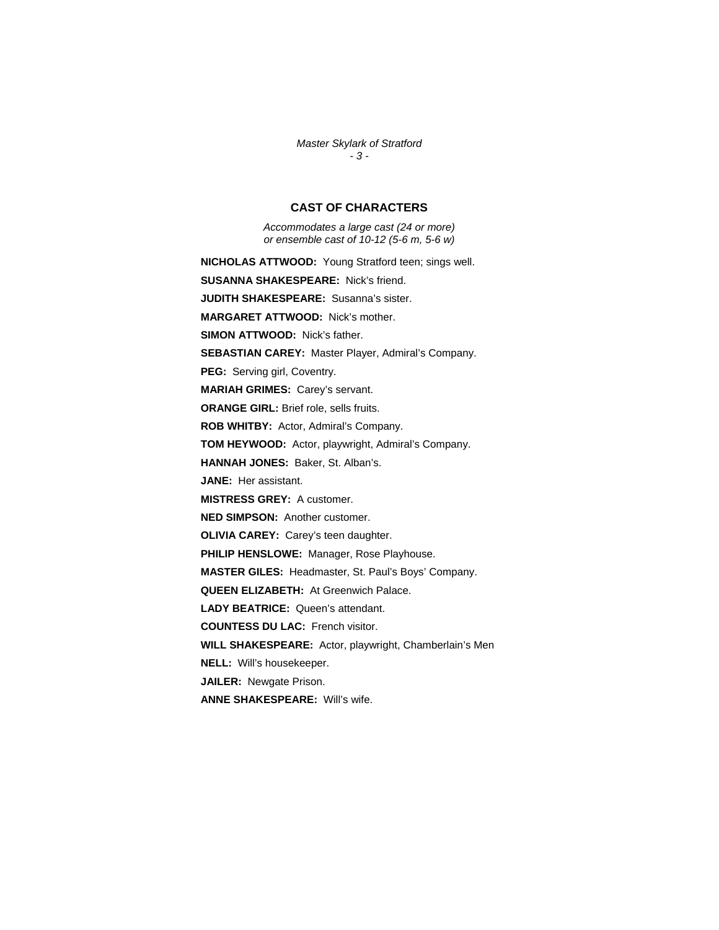*Master Skylark of Stratford - 3 -* 

## **CAST OF CHARACTERS**

*Accommodates a large cast (24 or more) or ensemble cast of 10-12 (5-6 m, 5-6 w)* 

**NICHOLAS ATTWOOD:** Young Stratford teen; sings well.

**SUSANNA SHAKESPEARE:** Nick's friend.

**JUDITH SHAKESPEARE:** Susanna's sister.

**MARGARET ATTWOOD:** Nick's mother.

**SIMON ATTWOOD:** Nick's father.

**SEBASTIAN CAREY:** Master Player, Admiral's Company.

**PEG:** Serving girl, Coventry.

**MARIAH GRIMES:** Carey's servant.

**ORANGE GIRL:** Brief role, sells fruits.

**ROB WHITBY:** Actor, Admiral's Company.

**TOM HEYWOOD:** Actor, playwright, Admiral's Company.

**HANNAH JONES:** Baker, St. Alban's.

**JANE:** Her assistant.

**MISTRESS GREY:** A customer.

**NED SIMPSON:** Another customer.

**OLIVIA CAREY:** Carey's teen daughter.

**PHILIP HENSLOWE:** Manager, Rose Playhouse.

**MASTER GILES:** Headmaster, St. Paul's Boys' Company.

**QUEEN ELIZABETH:** At Greenwich Palace.

**LADY BEATRICE:** Queen's attendant.

**COUNTESS DU LAC:** French visitor.

**WILL SHAKESPEARE:** Actor, playwright, Chamberlain's Men

**NELL:** Will's housekeeper.

**JAILER:** Newgate Prison.

**ANNE SHAKESPEARE:** Will's wife.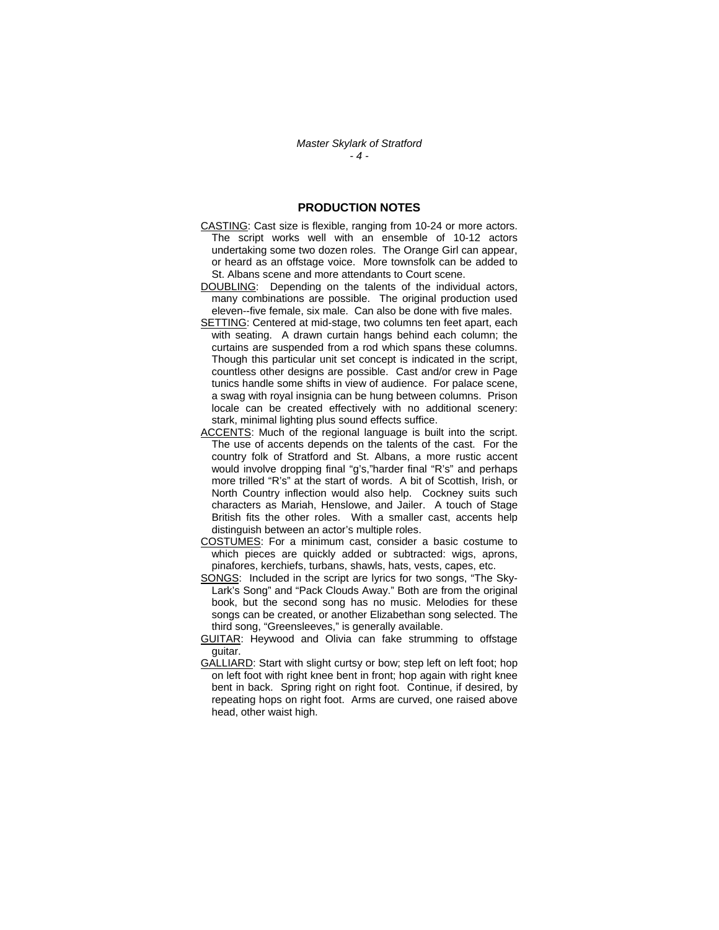#### **PRODUCTION NOTES**

- CASTING: Cast size is flexible, ranging from 10-24 or more actors. The script works well with an ensemble of 10-12 actors undertaking some two dozen roles. The Orange Girl can appear, or heard as an offstage voice. More townsfolk can be added to St. Albans scene and more attendants to Court scene.
- DOUBLING: Depending on the talents of the individual actors, many combinations are possible. The original production used eleven--five female, six male. Can also be done with five males.
- SETTING: Centered at mid-stage, two columns ten feet apart, each with seating. A drawn curtain hangs behind each column; the curtains are suspended from a rod which spans these columns. Though this particular unit set concept is indicated in the script, countless other designs are possible. Cast and/or crew in Page tunics handle some shifts in view of audience. For palace scene, a swag with royal insignia can be hung between columns. Prison locale can be created effectively with no additional scenery: stark, minimal lighting plus sound effects suffice.
- ACCENTS: Much of the regional language is built into the script. The use of accents depends on the talents of the cast. For the country folk of Stratford and St. Albans, a more rustic accent would involve dropping final "g's,"harder final "R's" and perhaps more trilled "R's" at the start of words. A bit of Scottish, Irish, or North Country inflection would also help. Cockney suits such characters as Mariah, Henslowe, and Jailer. A touch of Stage British fits the other roles. With a smaller cast, accents help distinguish between an actor's multiple roles.
- COSTUMES: For a minimum cast, consider a basic costume to which pieces are quickly added or subtracted: wigs, aprons, pinafores, kerchiefs, turbans, shawls, hats, vests, capes, etc.
- SONGS: Included in the script are lyrics for two songs, "The Sky-Lark's Song" and "Pack Clouds Away." Both are from the original book, but the second song has no music. Melodies for these songs can be created, or another Elizabethan song selected. The third song, "Greensleeves," is generally available.
- GUITAR: Heywood and Olivia can fake strumming to offstage guitar.
- GALLIARD: Start with slight curtsy or bow; step left on left foot; hop on left foot with right knee bent in front; hop again with right knee bent in back. Spring right on right foot. Continue, if desired, by repeating hops on right foot. Arms are curved, one raised above head, other waist high.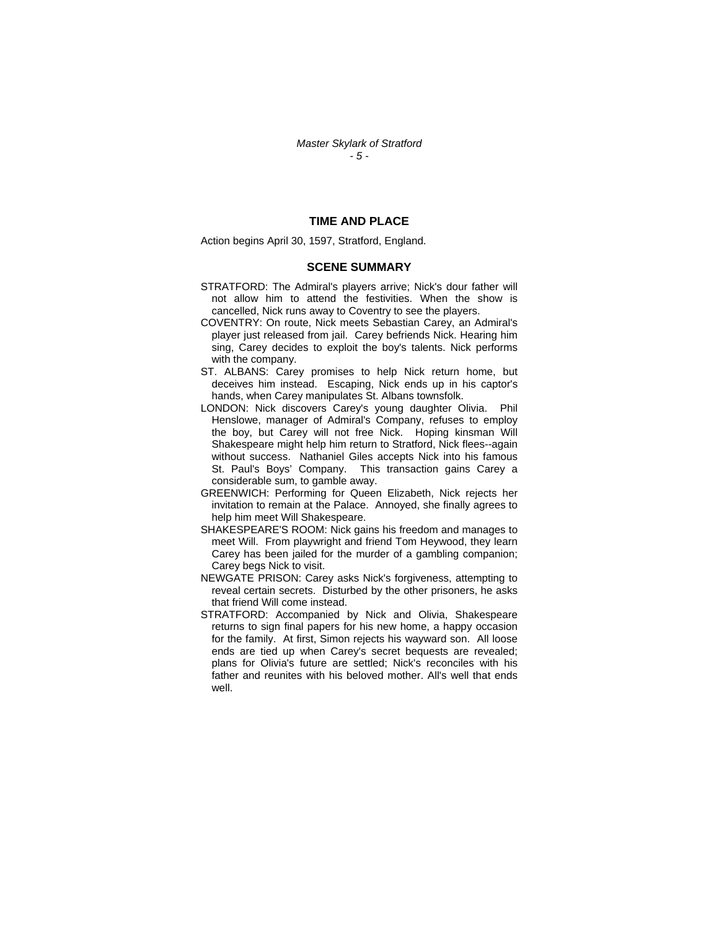#### **TIME AND PLACE**

Action begins April 30, 1597, Stratford, England.

#### **SCENE SUMMARY**

- STRATFORD: The Admiral's players arrive; Nick's dour father will not allow him to attend the festivities. When the show is cancelled, Nick runs away to Coventry to see the players.
- COVENTRY: On route, Nick meets Sebastian Carey, an Admiral's player just released from jail. Carey befriends Nick. Hearing him sing, Carey decides to exploit the boy's talents. Nick performs with the company.
- ST. ALBANS: Carey promises to help Nick return home, but deceives him instead. Escaping, Nick ends up in his captor's hands, when Carey manipulates St. Albans townsfolk.
- LONDON: Nick discovers Carey's young daughter Olivia. Phil Henslowe, manager of Admiral's Company, refuses to employ the boy, but Carey will not free Nick. Hoping kinsman Will Shakespeare might help him return to Stratford, Nick flees--again without success. Nathaniel Giles accepts Nick into his famous St. Paul's Boys' Company. This transaction gains Carey a considerable sum, to gamble away.
- GREENWICH: Performing for Queen Elizabeth, Nick rejects her invitation to remain at the Palace. Annoyed, she finally agrees to help him meet Will Shakespeare.
- SHAKESPEARE'S ROOM: Nick gains his freedom and manages to meet Will. From playwright and friend Tom Heywood, they learn Carey has been jailed for the murder of a gambling companion; Carey begs Nick to visit.
- NEWGATE PRISON: Carey asks Nick's forgiveness, attempting to reveal certain secrets. Disturbed by the other prisoners, he asks that friend Will come instead.
- STRATFORD: Accompanied by Nick and Olivia, Shakespeare returns to sign final papers for his new home, a happy occasion for the family. At first, Simon rejects his wayward son. All loose ends are tied up when Carey's secret bequests are revealed; plans for Olivia's future are settled; Nick's reconciles with his father and reunites with his beloved mother. All's well that ends well.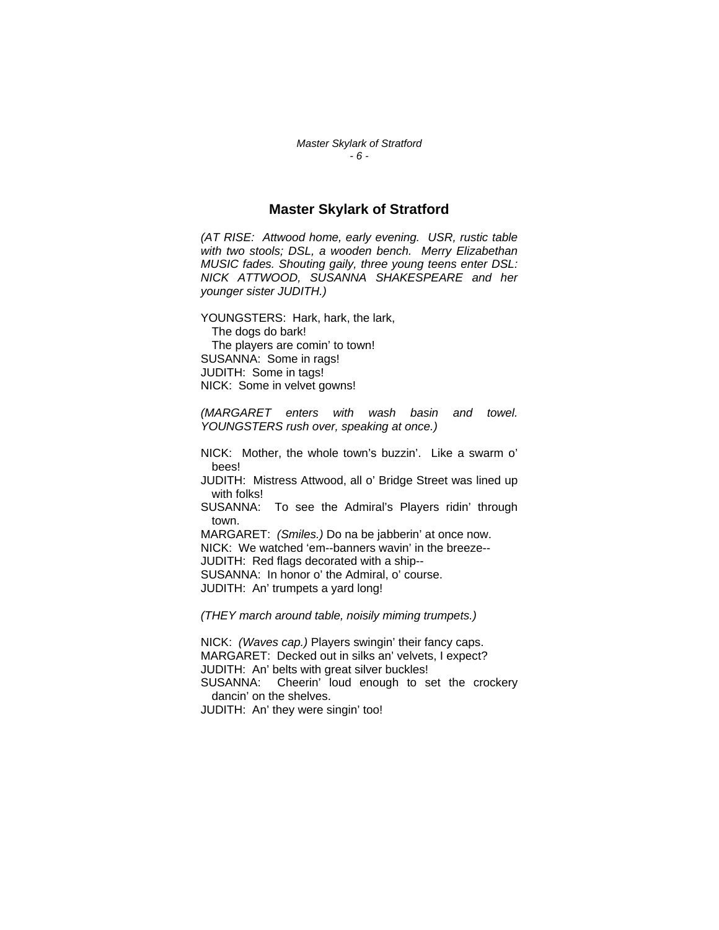# **Master Skylark of Stratford**

*(AT RISE: Attwood home, early evening. USR, rustic table with two stools; DSL, a wooden bench. Merry Elizabethan MUSIC fades. Shouting gaily, three young teens enter DSL: NICK ATTWOOD, SUSANNA SHAKESPEARE and her younger sister JUDITH.)* 

YOUNGSTERS: Hark, hark, the lark, The dogs do bark! The players are comin' to town! SUSANNA: Some in rags! JUDITH: Some in tags! NICK: Some in velvet gowns!

*(MARGARET enters with wash basin and towel. YOUNGSTERS rush over, speaking at once.)* 

NICK: Mother, the whole town's buzzin'. Like a swarm o' bees!

JUDITH: Mistress Attwood, all o' Bridge Street was lined up with folks!

SUSANNA: To see the Admiral's Players ridin' through town.

MARGARET: *(Smiles.)* Do na be jabberin' at once now. NICK: We watched 'em--banners wavin' in the breeze-- JUDITH: Red flags decorated with a ship--

SUSANNA: In honor o' the Admiral, o' course.

JUDITH: An' trumpets a yard long!

*(THEY march around table, noisily miming trumpets.)*

NICK: *(Waves cap.)* Players swingin' their fancy caps. MARGARET: Decked out in silks an' velvets, I expect? JUDITH: An' belts with great silver buckles! SUSANNA: Cheerin' loud enough to set the crockery dancin' on the shelves. JUDITH: An' they were singin' too!